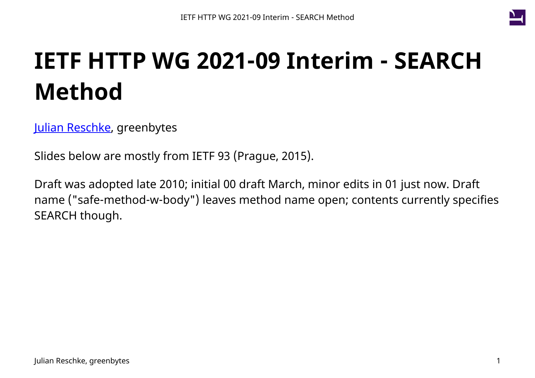

# **IETF HTTP WG 2021-09 Interim - SEARCH Method**

[Julian Reschke,](mailto:julian.reschke@greenbytes.de) greenbytes

Slides below are mostly from IETF 93 (Prague, 2015).

Draft was adopted late 2010; initial 00 draft March, minor edits in 01 just now. Draft name ("safe-method-w-body") leaves method name open; contents currently specifies SEARCH though.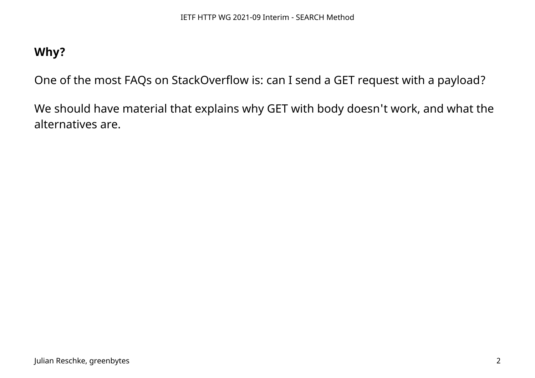## **Why?**

One of the most FAQs on StackOverflow is: can I send a GET request with a payload?

We should have material that explains why GET with body doesn't work, and what the alternatives are.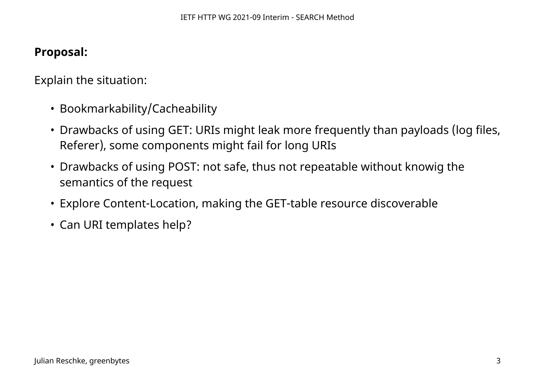### **Proposal:**

Explain the situation:

- Bookmarkability/Cacheability
- Drawbacks of using GET: URIs might leak more frequently than payloads (log files, Referer), some components might fail for long URIs
- Drawbacks of using POST: not safe, thus not repeatable without knowig the semantics of the request
- Explore Content-Location, making the GET-table resource discoverable
- Can URI templates help?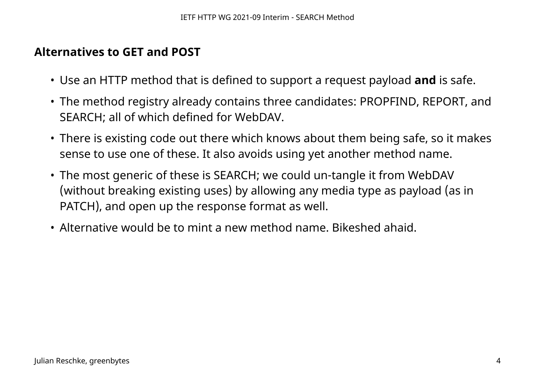#### **Alternatives to GET and POST**

- Use an HTTP method that is defined to support a request payload **and** is safe.
- The method registry already contains three candidates: PROPFIND, REPORT, and SEARCH; all of which defined for WebDAV.
- There is existing code out there which knows about them being safe, so it makes sense to use one of these. It also avoids using yet another method name.
- The most generic of these is SEARCH; we could un-tangle it from WebDAV (without breaking existing uses) by allowing any media type as payload (as in PATCH), and open up the response format as well.
- Alternative would be to mint a new method name. Bikeshed ahaid.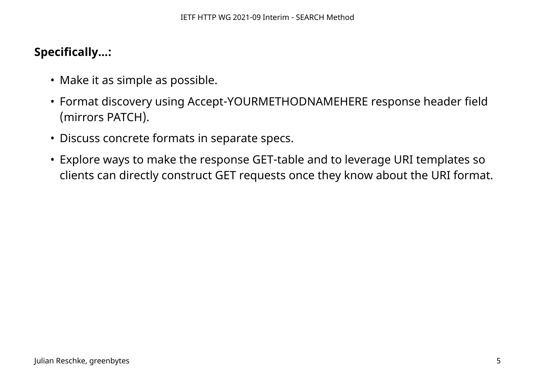# **Specifically...:**

- Make it as simple as possible.
- Format discovery using Accept-YOURMETHODNAMEHERE response header field (mirrors PATCH).
- Discuss concrete formats in separate specs.
- Explore ways to make the response GET-table and to leverage URI templates so clients can directly construct GET requests once they know about the URI format.